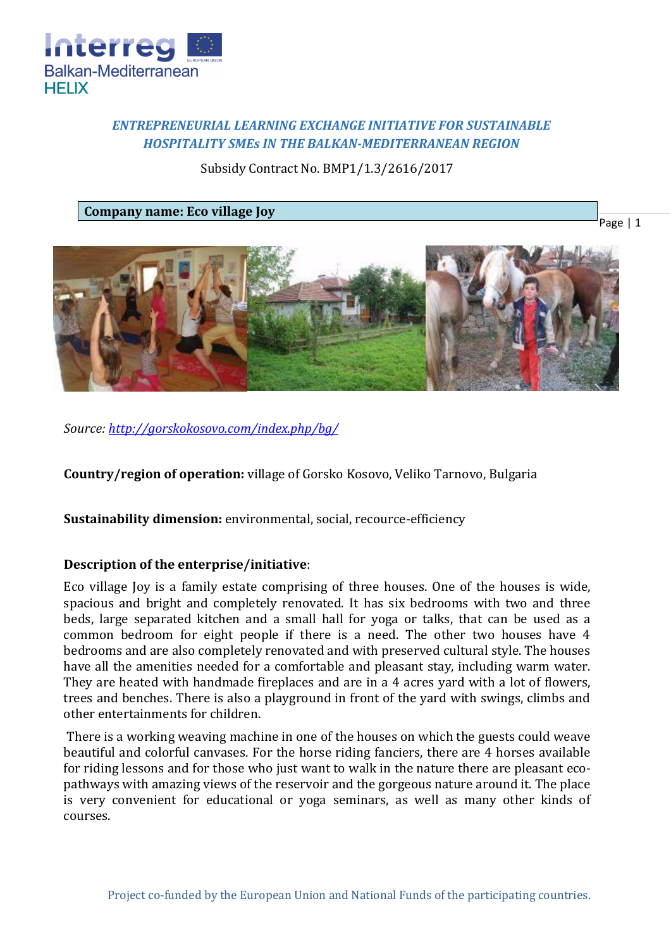

# *ENTREPRENEURIAL LEARNING EXCHANGE INITIATIVE FOR SUSTAINABLE HOSPITALITY SMEs IN THE BALKAN-MEDITERRANEAN REGION*

Subsidy Contract No. BMP1/1.3/2616/2017

**Company name: Eco village Joy** 

Page | 1



*Source:<http://gorskokosovo.com/index.php/bg/>*

**Country/region of operation:** village of Gorsko Kosovo, Veliko Tarnovo, Bulgaria

**Sustainability dimension:** environmental, social, recource-efficiency

# **Description of the enterprise/initiative**:

Eco village Joy is a family estate comprising of three houses. One of the houses is wide, spacious and bright and completely renovated. It has six bedrooms with two and three beds, large separated kitchen and a small hall for yoga or talks, that can be used as a common bedroom for eight people if there is a need. The other two houses have 4 bedrooms and are also completely renovated and with preserved cultural style. The houses have all the amenities needed for a comfortable and pleasant stay, including warm water. They are heated with handmade fireplaces and are in a 4 acres yard with a lot of flowers, trees and benches. There is also a playground in front of the yard with swings, climbs and other entertainments for children.

There is a working weaving machine in one of the houses on which the guests could weave beautiful and colorful canvases. For the horse riding fanciers, there are 4 horses available for riding lessons and for those who just want to walk in the nature there are pleasant ecopathways with amazing views of the reservoir and the gorgeous nature around it. The place is very convenient for educational or yoga seminars, as well as many other kinds of courses.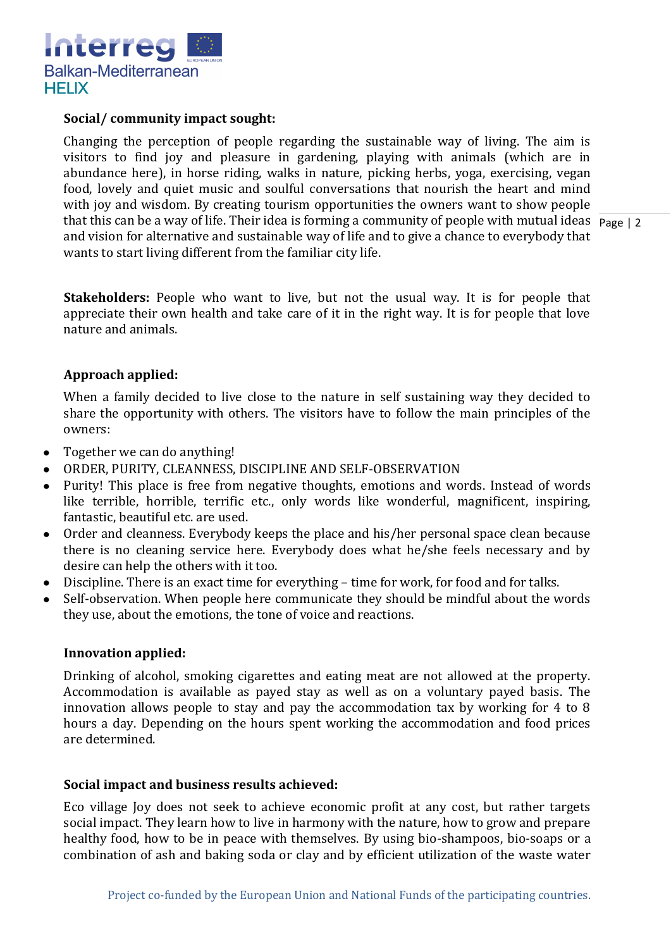

## **Social/ community impact sought:**

that this can be a way of life. Their idea is forming a community of people with mutual ideas Page | 2 Changing the perception of people regarding the sustainable way of living. The aim is visitors to find joy and pleasure in gardening, playing with animals (which are in abundance here), in horse riding, walks in nature, picking herbs, yoga, exercising, vegan food, lovely and quiet music and soulful conversations that nourish the heart and mind with joy and wisdom. By creating tourism opportunities the owners want to show people and vision for alternative and sustainable way of life and to give a chance to everybody that wants to start living different from the familiar city life.

**Stakeholders:** People who want to live, but not the usual way. It is for people that appreciate their own health and take care of it in the right way. It is for people that love nature and animals.

## **Approach applied:**

When a family decided to live close to the nature in self sustaining way they decided to share the opportunity with others. The visitors have to follow the main principles of the owners:

- Together we can do anything!  $\bullet$
- ORDER, PURITY, CLEANNESS, DISCIPLINE AND SELF-OBSERVATION
- Purity! This place is free from negative thoughts, emotions and words. Instead of words like terrible, horrible, terrific etc., only words like wonderful, magnificent, inspiring, fantastic, beautiful etc. are used.
- Order and cleanness. Everybody keeps the place and his/her personal space clean because there is no cleaning service here. Everybody does what he/she feels necessary and by desire can help the others with it too.
- Discipline. There is an exact time for everything time for work, for food and for talks.
- Self-observation. When people here communicate they should be mindful about the words they use, about the emotions, the tone of voice and reactions.

#### **Innovation applied:**

Drinking of alcohol, smoking cigarettes and eating meat are not allowed at the property. Accommodation is available as payed stay as well as on a voluntary payed basis. The innovation allows people to stay and pay the accommodation tax by working for 4 to 8 hours a day. Depending on the hours spent working the accommodation and food prices are determined.

#### **Social impact and business results achieved:**

Eco village Joy does not seek to achieve economic profit at any cost, but rather targets social impact. They learn how to live in harmony with the nature, how to grow and prepare healthy food, how to be in peace with themselves. By using bio-shampoos, bio-soaps or a combination of ash and baking soda or clay and by efficient utilization of the waste water